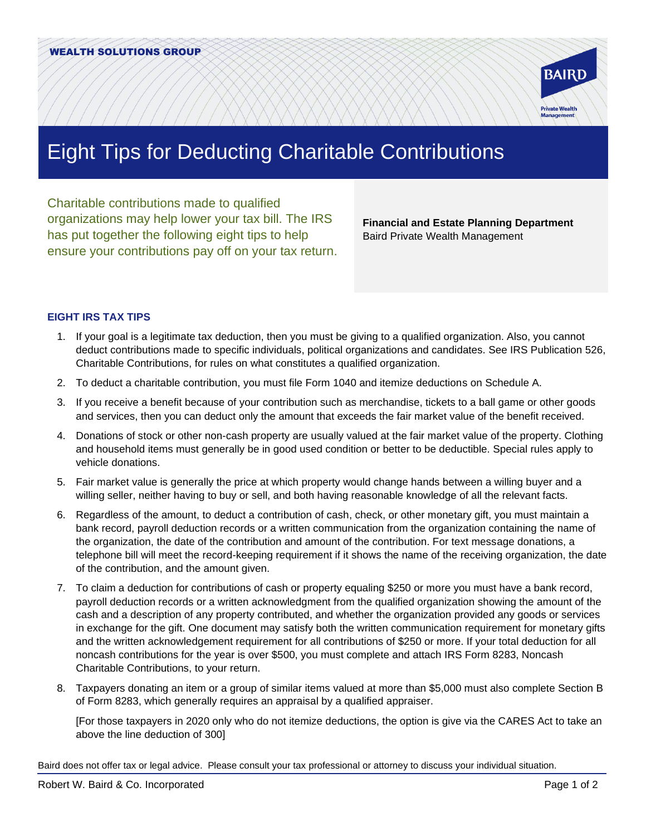

## Eight Tips for Deducting Charitable Contributions

Charitable contributions made to qualified organizations may help lower your tax bill. The IRS has put together the following eight tips to help ensure your contributions pay off on your tax return.

**Financial and Estate Planning Department** Baird Private Wealth Management

## **EIGHT IRS TAX TIPS**

- 1. If your goal is a legitimate tax deduction, then you must be giving to a qualified organization. Also, you cannot deduct contributions made to specific individuals, political organizations and candidates. See IRS Publication 526, Charitable Contributions, for rules on what constitutes a qualified organization.
- 2. To deduct a charitable contribution, you must file Form 1040 and itemize deductions on Schedule A.
- 3. If you receive a benefit because of your contribution such as merchandise, tickets to a ball game or other goods and services, then you can deduct only the amount that exceeds the fair market value of the benefit received.
- 4. Donations of stock or other non-cash property are usually valued at the fair market value of the property. Clothing and household items must generally be in good used condition or better to be deductible. Special rules apply to vehicle donations.
- 5. Fair market value is generally the price at which property would change hands between a willing buyer and a willing seller, neither having to buy or sell, and both having reasonable knowledge of all the relevant facts.
- 6. Regardless of the amount, to deduct a contribution of cash, check, or other monetary gift, you must maintain a bank record, payroll deduction records or a written communication from the organization containing the name of the organization, the date of the contribution and amount of the contribution. For text message donations, a telephone bill will meet the record-keeping requirement if it shows the name of the receiving organization, the date of the contribution, and the amount given.
- 7. To claim a deduction for contributions of cash or property equaling \$250 or more you must have a bank record, payroll deduction records or a written acknowledgment from the qualified organization showing the amount of the cash and a description of any property contributed, and whether the organization provided any goods or services in exchange for the gift. One document may satisfy both the written communication requirement for monetary gifts and the written acknowledgement requirement for all contributions of \$250 or more. If your total deduction for all noncash contributions for the year is over \$500, you must complete and attach IRS Form 8283, Noncash Charitable Contributions, to your return.
- 8. Taxpayers donating an item or a group of similar items valued at more than \$5,000 must also complete Section B of Form 8283, which generally requires an appraisal by a qualified appraiser.

[For those taxpayers in 2020 only who do not itemize deductions, the option is give via the CARES Act to take an above the line deduction of 300]

Baird does not offer tax or legal advice. Please consult your tax professional or attorney to discuss your individual situation.